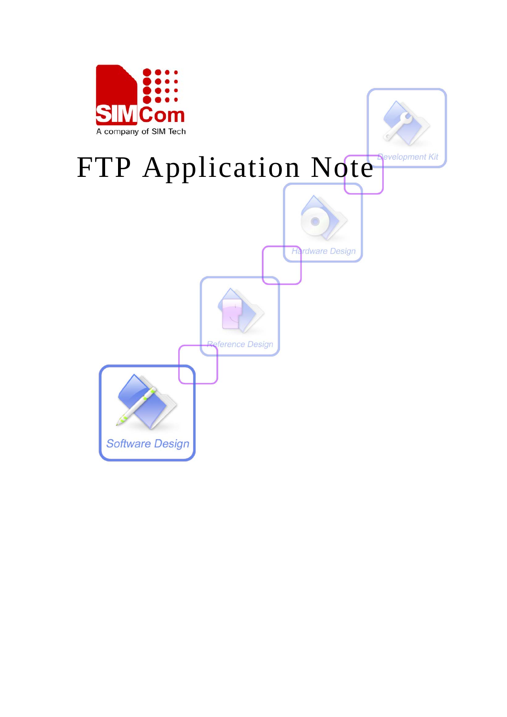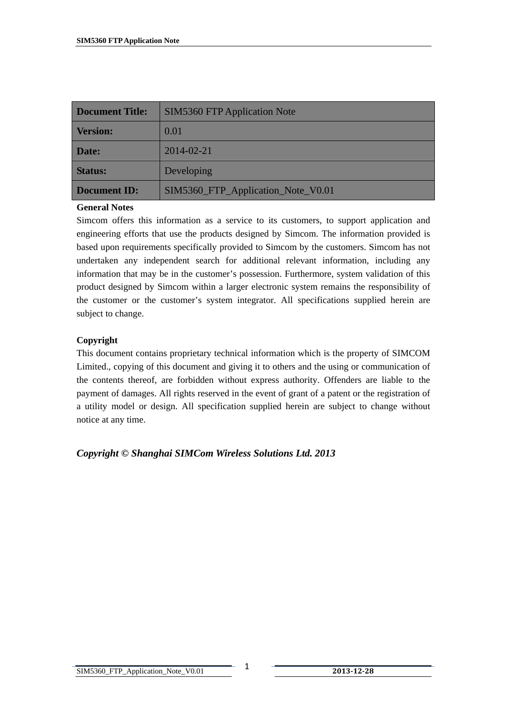| <b>Document Title:</b>                                    | <b>SIM5360 FTP Application Note</b> |  |
|-----------------------------------------------------------|-------------------------------------|--|
| <b>Version:</b>                                           | 0.01                                |  |
| Date:                                                     | 2014-02-21                          |  |
| <b>Status:</b>                                            | Developing                          |  |
| SIM5360_FTP_Application_Note_V0.01<br><b>Document ID:</b> |                                     |  |

#### **General Notes**

Simcom offers this information as a service to its customers, to support application and engineering efforts that use the products designed by Simcom. The information provided is based upon requirements specifically provided to Simcom by the customers. Simcom has not undertaken any independent search for additional relevant information, including any information that may be in the customer's possession. Furthermore, system validation of this product designed by Simcom within a larger electronic system remains the responsibility of the customer or the customer's system integrator. All specifications supplied herein are subject to change.

#### **Copyright**

This document contains proprietary technical information which is the property of SIMCOM Limited., copying of this document and giving it to others and the using or communication of the contents thereof, are forbidden without express authority. Offenders are liable to the payment of damages. All rights reserved in the event of grant of a patent or the registration of a utility model or design. All specification supplied herein are subject to change without notice at any time.

*Copyright © Shanghai SIMCom Wireless Solutions Ltd. 2013*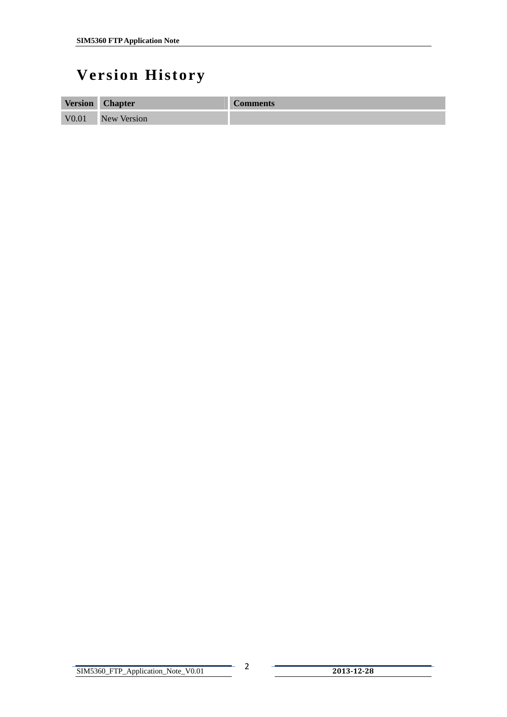# <span id="page-2-0"></span>**Version History**

| <b>Version</b>    | <b>Chapter</b>     | <b>Comments</b> |
|-------------------|--------------------|-----------------|
| V <sub>0.01</sub> | <b>New Version</b> |                 |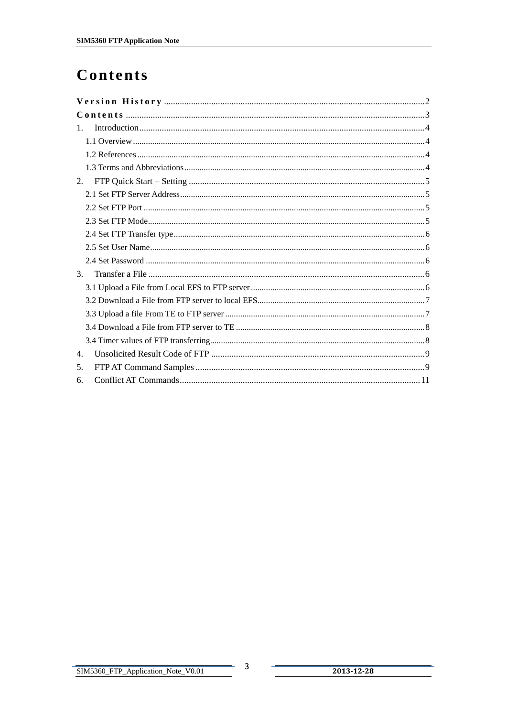# <span id="page-3-0"></span>Contents

| 1. |  |
|----|--|
|    |  |
|    |  |
|    |  |
| 2. |  |
|    |  |
|    |  |
|    |  |
|    |  |
|    |  |
|    |  |
| 3. |  |
|    |  |
|    |  |
|    |  |
|    |  |
|    |  |
| 4. |  |
| 5. |  |
| 6. |  |

 $\mathbf{3}$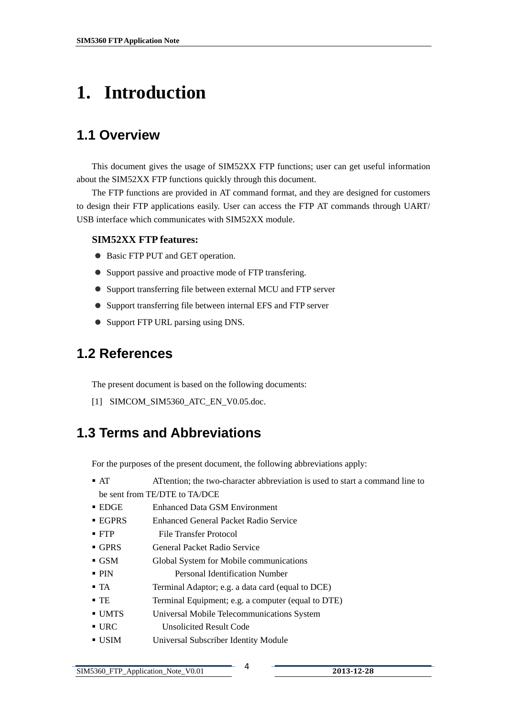# <span id="page-4-0"></span>**1. Introduction**

## **1.1 Overview**

This document gives the usage of SIM52XX FTP functions; user can get useful information about the SIM52XX FTP functions quickly through this document.

The FTP functions are provided in AT command format, and they are designed for customers to design their FTP applications easily. User can access the FTP AT commands through UART/ USB interface which communicates with SIM52XX module.

#### **SIM52XX FTP features:**

- Basic FTP PUT and GET operation.
- Support passive and proactive mode of FTP transfering.
- Support transferring file between external MCU and FTP server
- Support transferring file between internal EFS and FTP server
- Support FTP URL parsing using DNS.

### **1.2 References**

The present document is based on the following documents:

[1] SIMCOM\_SIM5360\_ATC\_EN\_V0.05.doc.

### **1.3 Terms and Abbreviations**

For the purposes of the present document, the following abbreviations apply:

- AT ATtention; the two-character abbreviation is used to start a command line to be sent from TE/DTE to TA/DCE
- EDGE Enhanced Data GSM Environment
- EGPRS Enhanced General Packet Radio Service
- **FTP** File Transfer Protocol
- GPRS General Packet Radio Service
- GSM Global System for Mobile communications
- PIN Personal Identification Number
- TA Terminal Adaptor; e.g. a data card (equal to DCE)
- TE Terminal Equipment; e.g. a computer (equal to DTE)
- UMTS Universal Mobile Telecommunications System
- URC Unsolicited Result Code
- USIM Universal Subscriber Identity Module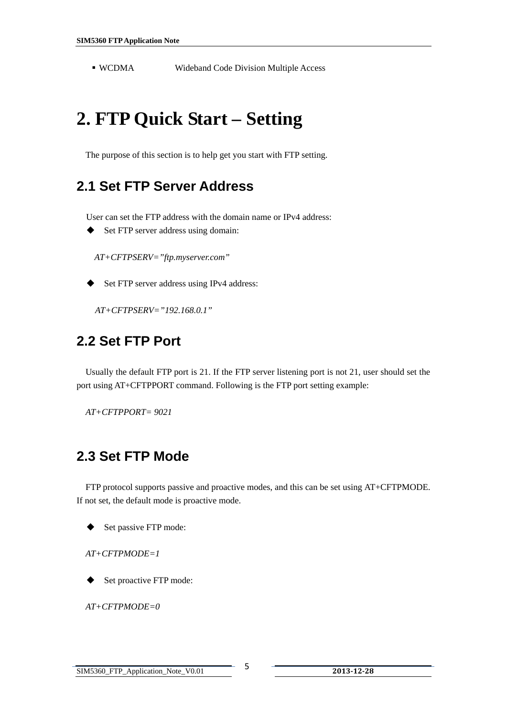<span id="page-5-0"></span>WCDMA Wideband Code Division Multiple Access

# **2. FTP Quick Start – Setting**

The purpose of this section is to help get you start with FTP setting.

### **2.1 Set FTP Server Address**

User can set the FTP address with the domain name or IPv4 address:

◆ Set FTP server address using domain:

*AT+CFTPSERV="ftp.myserver.com"*

Set FTP server address using IPv4 address:

*AT+CFTPSERV="192.168.0.1"*

### **2.2 Set FTP Port**

Usually the default FTP port is 21. If the FTP server listening port is not 21, user should set the port using AT+CFTPPORT command. Following is the FTP port setting example:

*AT+CFTPPORT= 9021* 

### **2.3 Set FTP Mode**

 FTP protocol supports passive and proactive modes, and this can be set using AT+CFTPMODE. If not set, the default mode is proactive mode.

Set passive FTP mode:

*AT+CFTPMODE=1*

Set proactive FTP mode:

*AT+CFTPMODE=0*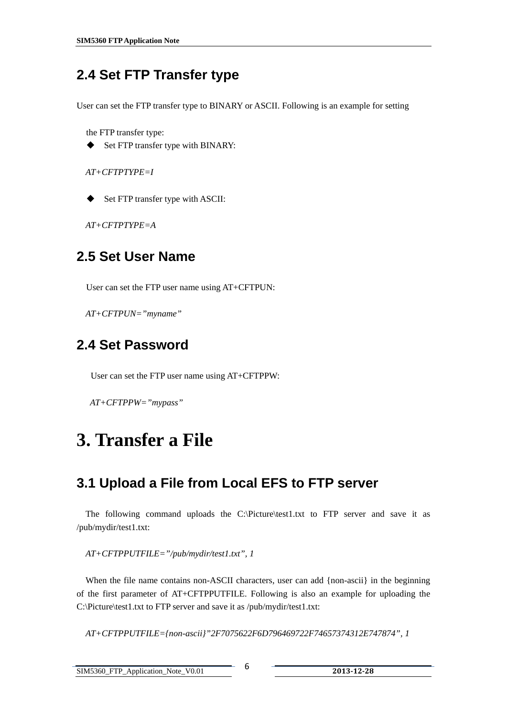# <span id="page-6-0"></span>**2.4 Set FTP Transfer type**

User can set the FTP transfer type to BINARY or ASCII. Following is an example for setting

the FTP transfer type:

Set FTP transfer type with BINARY:

*AT+CFTPTYPE=I*

Set FTP transfer type with ASCII:

*AT+CFTPTYPE=A* 

## **2.5 Set User Name**

User can set the FTP user name using AT+CFTPUN:

*AT+CFTPUN="myname"*

## **2.4 Set Password**

User can set the FTP user name using AT+CFTPPW:

*AT+CFTPPW="mypass"*

# **3. Transfer a File**

## **3.1 Upload a File from Local EFS to FTP server**

 The following command uploads the C:\Picture\test1.txt to FTP server and save it as /pub/mydir/test1.txt:

*AT+CFTPPUTFILE="/pub/mydir/test1.txt", 1* 

When the file name contains non-ASCII characters, user can add {non-ascii} in the beginning of the first parameter of AT+CFTPPUTFILE. Following is also an example for uploading the C:\Picture\test1.txt to FTP server and save it as /pub/mydir/test1.txt:

*AT+CFTPPUTFILE={non-ascii}"2F7075622F6D796469722F74657374312E747874", 1*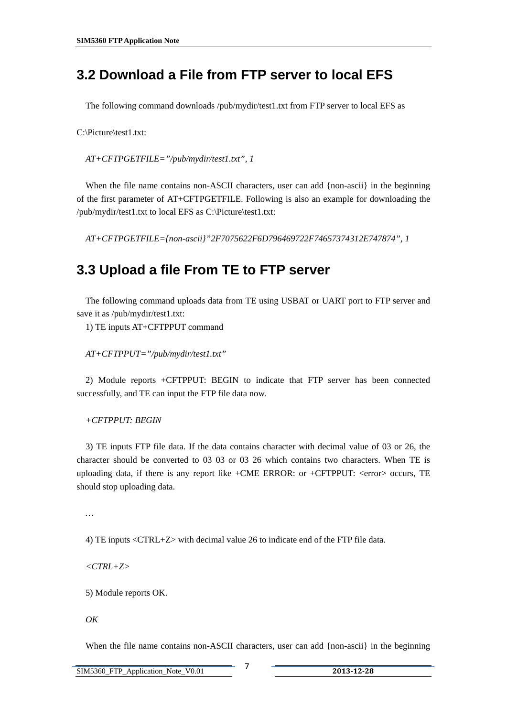## <span id="page-7-0"></span>**3.2 Download a File from FTP server to local EFS**

The following command downloads /pub/mydir/test1.txt from FTP server to local EFS as

C:\Picture\test1.txt:

*AT+CFTPGETFILE="/pub/mydir/test1.txt", 1* 

When the file name contains non-ASCII characters, user can add {non-ascii} in the beginning of the first parameter of AT+CFTPGETFILE. Following is also an example for downloading the /pub/mydir/test1.txt to local EFS as C:\Picture\test1.txt:

*AT+CFTPGETFILE={non-ascii}"2F7075622F6D796469722F74657374312E747874", 1* 

#### **3.3 Upload a file From TE to FTP server**

 The following command uploads data from TE using USBAT or UART port to FTP server and save it as /pub/mydir/test1.txt:

1) TE inputs AT+CFTPPUT command

*AT+CFTPPUT="/pub/mydir/test1.txt"* 

2) Module reports +CFTPPUT: BEGIN to indicate that FTP server has been connected successfully, and TE can input the FTP file data now.

*+CFTPPUT: BEGIN* 

3) TE inputs FTP file data. If the data contains character with decimal value of 03 or 26, the character should be converted to 03 03 or 03 26 which contains two characters. When TE is uploading data, if there is any report like +CME ERROR: or +CFTPPUT: <error> occurs, TE should stop uploading data.

*…* 

4) TE inputs <CTRL+Z> with decimal value 26 to indicate end of the FTP file data.

*<CTRL+Z>* 

5) Module reports OK.

*OK* 

When the file name contains non-ASCII characters, user can add {non-ascii} in the beginning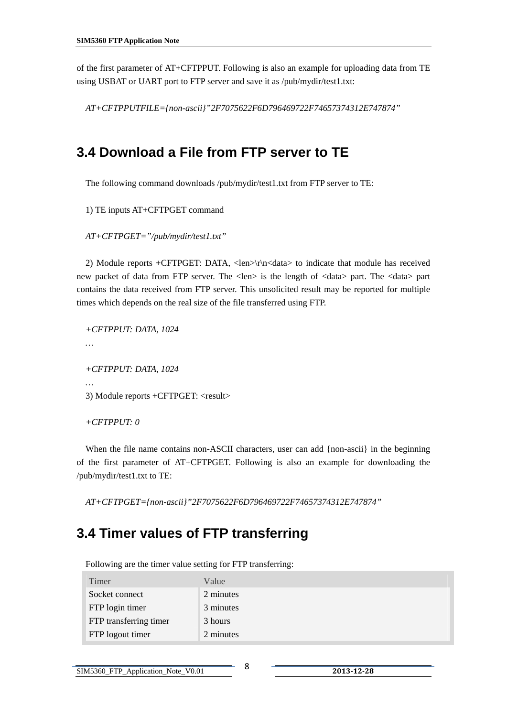<span id="page-8-0"></span>of the first parameter of AT+CFTPPUT. Following is also an example for uploading data from TE using USBAT or UART port to FTP server and save it as /pub/mydir/test1.txt:

*AT+CFTPPUTFILE={non-ascii}"2F7075622F6D796469722F74657374312E747874"* 

### **3.4 Download a File from FTP server to TE**

The following command downloads /pub/mydir/test1.txt from FTP server to TE:

1) TE inputs AT+CFTPGET command

*AT+CFTPGET="/pub/mydir/test1.txt"* 

2) Module reports +CFTPGET: DATA, <len>\r\n<data> to indicate that module has received new packet of data from FTP server. The <len> is the length of <data> part. The <data> part contains the data received from FTP server. This unsolicited result may be reported for multiple times which depends on the real size of the file transferred using FTP.

*+CFTPPUT: DATA, 1024* 

*…* 

*+CFTPPUT: DATA, 1024* 

*…* 

3) Module reports +CFTPGET: <result>

*+CFTPPUT: 0* 

When the file name contains non-ASCII characters, user can add {non-ascii} in the beginning of the first parameter of AT+CFTPGET. Following is also an example for downloading the /pub/mydir/test1.txt to TE:

*AT+CFTPGET={non-ascii}"2F7075622F6D796469722F74657374312E747874"* 

### **3.4 Timer values of FTP transferring**

Following are the timer value setting for FTP transferring:

| Timer                  | Value     |
|------------------------|-----------|
| Socket connect         | 2 minutes |
| FTP login timer        | 3 minutes |
| FTP transferring timer | 3 hours   |
| FTP logout timer       | 2 minutes |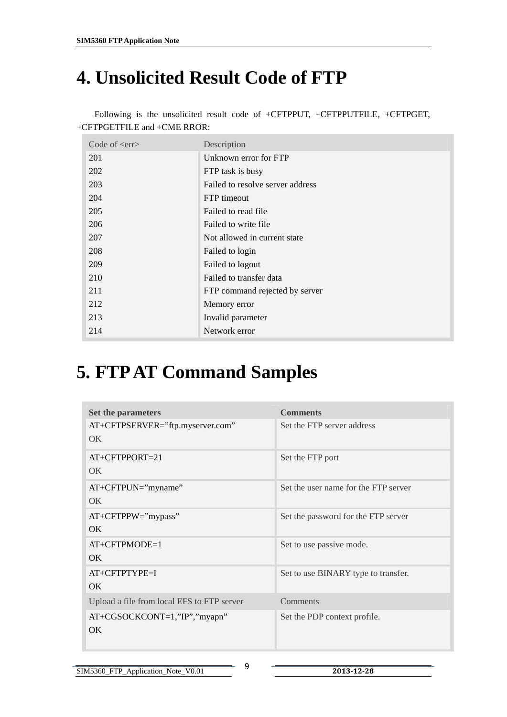# <span id="page-9-0"></span>**4. Unsolicited Result Code of FTP**

| Code of $\langle$ err $\rangle$ | Description                      |
|---------------------------------|----------------------------------|
| 201                             | Unknown error for FTP            |
| 202                             | FTP task is busy                 |
| 203                             | Failed to resolve server address |
| 204                             | FTP timeout                      |
| 205                             | Failed to read file              |
| 206                             | Failed to write file             |
| 207                             | Not allowed in current state     |
| 208                             | Failed to login                  |
| 209                             | Failed to logout                 |
| 210                             | Failed to transfer data          |
| 211                             | FTP command rejected by server   |
| 212                             | Memory error                     |
| 213                             | Invalid parameter                |
| 214                             | Network error                    |

Following is the unsolicited result code of +CFTPPUT, +CFTPPUTFILE, +CFTPGET, +CFTPGETFILE and +CME RROR:

# **5. FTP AT Command Samples**

| <b>Set the parameters</b>                  | <b>Comments</b>                      |
|--------------------------------------------|--------------------------------------|
| AT+CFTPSERVER="ftp.myserver.com"           | Set the FTP server address           |
| OK                                         |                                      |
| $AT+CFTPPORT=21$                           | Set the FTP port                     |
| OK.                                        |                                      |
| $AT+CFTPUN="myname"$                       | Set the user name for the FTP server |
| OK.                                        |                                      |
| $AT+CFTPPW="mypass"$                       | Set the password for the FTP server  |
| OK.                                        |                                      |
| $AT+CFTPMODE=1$                            | Set to use passive mode.             |
| OK.                                        |                                      |
| AT+CFTPTYPE=I                              | Set to use BINARY type to transfer.  |
| OK.                                        |                                      |
| Upload a file from local EFS to FTP server | Comments                             |
| AT+CGSOCKCONT=1,"IP","myapn"<br><b>OK</b>  | Set the PDP context profile.         |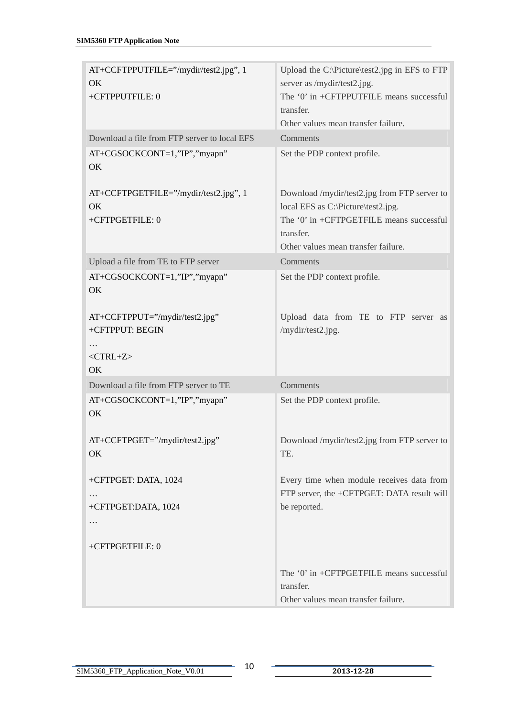| AT+CCFTPPUTFILE="/mydir/test2.jpg", 1<br>OK<br>+CFTPPUTFILE: 0 | Upload the C:\Picture\test2.jpg in EFS to FTP<br>server as /mydir/test2.jpg.<br>The '0' in +CFTPPUTFILE means successful<br>transfer.<br>Other values mean transfer failure. |
|----------------------------------------------------------------|------------------------------------------------------------------------------------------------------------------------------------------------------------------------------|
| Download a file from FTP server to local EFS                   | Comments                                                                                                                                                                     |
| AT+CGSOCKCONT=1,"IP","myapn"<br>OK                             | Set the PDP context profile.                                                                                                                                                 |
| AT+CCFTPGETFILE="/mydir/test2.jpg", 1<br>OK<br>+CFTPGETFILE: 0 | Download /mydir/test2.jpg from FTP server to<br>local EFS as C:\Picture\test2.jpg.<br>The '0' in +CFTPGETFILE means successful<br>transfer.                                  |
|                                                                | Other values mean transfer failure.                                                                                                                                          |
| Upload a file from TE to FTP server                            | Comments                                                                                                                                                                     |
| AT+CGSOCKCONT=1,"IP","myapn"<br>OK                             | Set the PDP context profile.                                                                                                                                                 |
| AT+CCFTPPUT="/mydir/test2.jpg"<br>+CFTPPUT: BEGIN              | Upload data from TE to FTP server as<br>/mydir/test2.jpg.                                                                                                                    |
| .<br>$<$ CTRL+Z $>$<br>OK                                      |                                                                                                                                                                              |
| Download a file from FTP server to TE                          | Comments                                                                                                                                                                     |
| AT+CGSOCKCONT=1,"IP","myapn"<br>OK                             | Set the PDP context profile.                                                                                                                                                 |
| AT+CCFTPGET="/mydir/test2.jpg"<br>OK.                          | Download /mydir/test2.jpg from FTP server to<br>TE.                                                                                                                          |
| +CFTPGET: DATA, 1024                                           | Every time when module receives data from<br>FTP server, the +CFTPGET: DATA result will                                                                                      |
| +CFTPGET:DATA, 1024                                            | be reported.                                                                                                                                                                 |
|                                                                |                                                                                                                                                                              |
| +CFTPGETFILE: 0                                                |                                                                                                                                                                              |
|                                                                | The '0' in +CFTPGETFILE means successful<br>transfer.                                                                                                                        |
|                                                                | Other values mean transfer failure.                                                                                                                                          |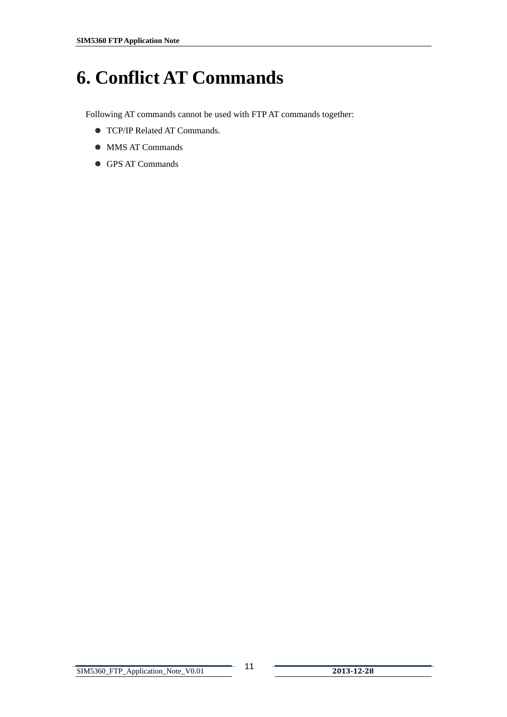# <span id="page-11-0"></span>**6. Conflict AT Commands**

Following AT commands cannot be used with FTP AT commands together:

- $\bullet$  TCP/IP Related AT Commands.
- $\bullet$  MMS AT Commands
- GPS AT Commands